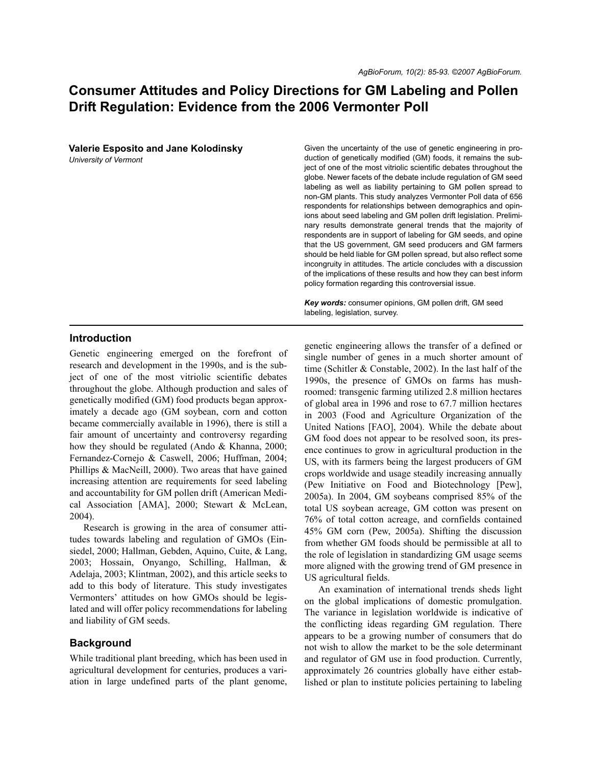# **Consumer Attitudes and Policy Directions for GM Labeling and Pollen Drift Regulation: Evidence from the 2006 Vermonter Poll**

**Valerie Esposito and Jane Kolodinsky**  *University of Vermont*

Given the uncertainty of the use of genetic engineering in production of genetically modified (GM) foods, it remains the subject of one of the most vitriolic scientific debates throughout the globe. Newer facets of the debate include regulation of GM seed labeling as well as liability pertaining to GM pollen spread to non-GM plants. This study analyzes Vermonter Poll data of 656 respondents for relationships between demographics and opinions about seed labeling and GM pollen drift legislation. Preliminary results demonstrate general trends that the majority of respondents are in support of labeling for GM seeds, and opine that the US government, GM seed producers and GM farmers should be held liable for GM pollen spread, but also reflect some incongruity in attitudes. The article concludes with a discussion of the implications of these results and how they can best inform policy formation regarding this controversial issue.

*Key words:* consumer opinions, GM pollen drift, GM seed labeling, legislation, survey.

#### **Introduction**

Genetic engineering emerged on the forefront of research and development in the 1990s, and is the subject of one of the most vitriolic scientific debates throughout the globe. Although production and sales of genetically modified (GM) food products began approximately a decade ago (GM soybean, corn and cotton became commercially available in 1996), there is still a fair amount of uncertainty and controversy regarding how they should be regulated (Ando & Khanna, 2000; Fernandez-Cornejo & Caswell, 2006; Huffman, 2004; Phillips & MacNeill, 2000). Two areas that have gained increasing attention are requirements for seed labeling and accountability for GM pollen drift (American Medical Association [AMA], 2000; Stewart & McLean, 2004).

Research is growing in the area of consumer attitudes towards labeling and regulation of GMOs (Einsiedel, 2000; Hallman, Gebden, Aquino, Cuite, & Lang, 2003; Hossain, Onyango, Schilling, Hallman, & Adelaja, 2003; Klintman, 2002), and this article seeks to add to this body of literature. This study investigates Vermonters' attitudes on how GMOs should be legislated and will offer policy recommendations for labeling and liability of GM seeds.

## **Background**

While traditional plant breeding, which has been used in agricultural development for centuries, produces a variation in large undefined parts of the plant genome, genetic engineering allows the transfer of a defined or single number of genes in a much shorter amount of time (Schitler & Constable, 2002). In the last half of the 1990s, the presence of GMOs on farms has mushroomed: transgenic farming utilized 2.8 million hectares of global area in 1996 and rose to 67.7 million hectares in 2003 (Food and Agriculture Organization of the United Nations [FAO], 2004). While the debate about GM food does not appear to be resolved soon, its presence continues to grow in agricultural production in the US, with its farmers being the largest producers of GM crops worldwide and usage steadily increasing annually (Pew Initiative on Food and Biotechnology [Pew], 2005a). In 2004, GM soybeans comprised 85% of the total US soybean acreage, GM cotton was present on 76% of total cotton acreage, and cornfields contained 45% GM corn (Pew, 2005a). Shifting the discussion from whether GM foods should be permissible at all to the role of legislation in standardizing GM usage seems more aligned with the growing trend of GM presence in US agricultural fields.

An examination of international trends sheds light on the global implications of domestic promulgation. The variance in legislation worldwide is indicative of the conflicting ideas regarding GM regulation. There appears to be a growing number of consumers that do not wish to allow the market to be the sole determinant and regulator of GM use in food production. Currently, approximately 26 countries globally have either established or plan to institute policies pertaining to labeling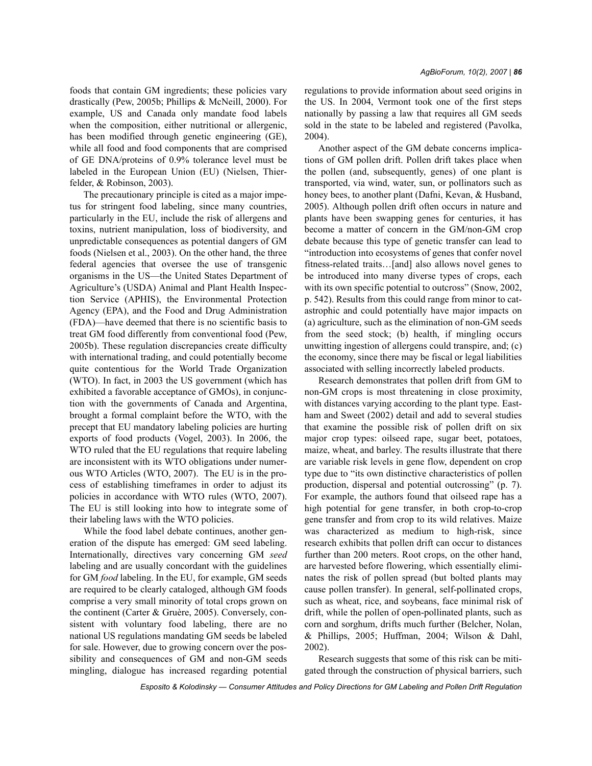foods that contain GM ingredients; these policies vary drastically (Pew, 2005b; Phillips & McNeill, 2000). For example, US and Canada only mandate food labels when the composition, either nutritional or allergenic, has been modified through genetic engineering (GE), while all food and food components that are comprised of GE DNA/proteins of 0.9% tolerance level must be labeled in the European Union (EU) (Nielsen, Thierfelder, & Robinson, 2003).

The precautionary principle is cited as a major impetus for stringent food labeling, since many countries, particularly in the EU, include the risk of allergens and toxins, nutrient manipulation, loss of biodiversity, and unpredictable consequences as potential dangers of GM foods (Nielsen et al., 2003). On the other hand, the three federal agencies that oversee the use of transgenic organisms in the US—the United States Department of Agriculture's (USDA) Animal and Plant Health Inspection Service (APHIS), the Environmental Protection Agency (EPA), and the Food and Drug Administration (FDA)—have deemed that there is no scientific basis to treat GM food differently from conventional food (Pew, 2005b). These regulation discrepancies create difficulty with international trading, and could potentially become quite contentious for the World Trade Organization (WTO). In fact, in 2003 the US government (which has exhibited a favorable acceptance of GMOs), in conjunction with the governments of Canada and Argentina, brought a formal complaint before the WTO, with the precept that EU mandatory labeling policies are hurting exports of food products (Vogel, 2003). In 2006, the WTO ruled that the EU regulations that require labeling are inconsistent with its WTO obligations under numerous WTO Articles (WTO, 2007). The EU is in the process of establishing timeframes in order to adjust its policies in accordance with WTO rules (WTO, 2007). The EU is still looking into how to integrate some of their labeling laws with the WTO policies.

While the food label debate continues, another generation of the dispute has emerged: GM seed labeling. Internationally, directives vary concerning GM *seed* labeling and are usually concordant with the guidelines for GM *food* labeling. In the EU, for example, GM seeds are required to be clearly cataloged, although GM foods comprise a very small minority of total crops grown on the continent (Carter & Gruère, 2005). Conversely, consistent with voluntary food labeling, there are no national US regulations mandating GM seeds be labeled for sale. However, due to growing concern over the possibility and consequences of GM and non-GM seeds mingling, dialogue has increased regarding potential regulations to provide information about seed origins in the US. In 2004, Vermont took one of the first steps nationally by passing a law that requires all GM seeds sold in the state to be labeled and registered (Pavolka, 2004).

Another aspect of the GM debate concerns implications of GM pollen drift. Pollen drift takes place when the pollen (and, subsequently, genes) of one plant is transported, via wind, water, sun, or pollinators such as honey bees, to another plant (Dafni, Kevan, & Husband, 2005). Although pollen drift often occurs in nature and plants have been swapping genes for centuries, it has become a matter of concern in the GM/non-GM crop debate because this type of genetic transfer can lead to "introduction into ecosystems of genes that confer novel fitness-related traits…[and] also allows novel genes to be introduced into many diverse types of crops, each with its own specific potential to outcross" (Snow, 2002, p. 542). Results from this could range from minor to catastrophic and could potentially have major impacts on (a) agriculture, such as the elimination of non-GM seeds from the seed stock; (b) health, if mingling occurs unwitting ingestion of allergens could transpire, and; (c) the economy, since there may be fiscal or legal liabilities associated with selling incorrectly labeled products.

Research demonstrates that pollen drift from GM to non-GM crops is most threatening in close proximity, with distances varying according to the plant type. Eastham and Sweet (2002) detail and add to several studies that examine the possible risk of pollen drift on six major crop types: oilseed rape, sugar beet, potatoes, maize, wheat, and barley. The results illustrate that there are variable risk levels in gene flow, dependent on crop type due to "its own distinctive characteristics of pollen production, dispersal and potential outcrossing" (p. 7). For example, the authors found that oilseed rape has a high potential for gene transfer, in both crop-to-crop gene transfer and from crop to its wild relatives. Maize was characterized as medium to high-risk, since research exhibits that pollen drift can occur to distances further than 200 meters. Root crops, on the other hand, are harvested before flowering, which essentially eliminates the risk of pollen spread (but bolted plants may cause pollen transfer). In general, self-pollinated crops, such as wheat, rice, and soybeans, face minimal risk of drift, while the pollen of open-pollinated plants, such as corn and sorghum, drifts much further (Belcher, Nolan, & Phillips, 2005; Huffman, 2004; Wilson & Dahl, 2002).

Research suggests that some of this risk can be mitigated through the construction of physical barriers, such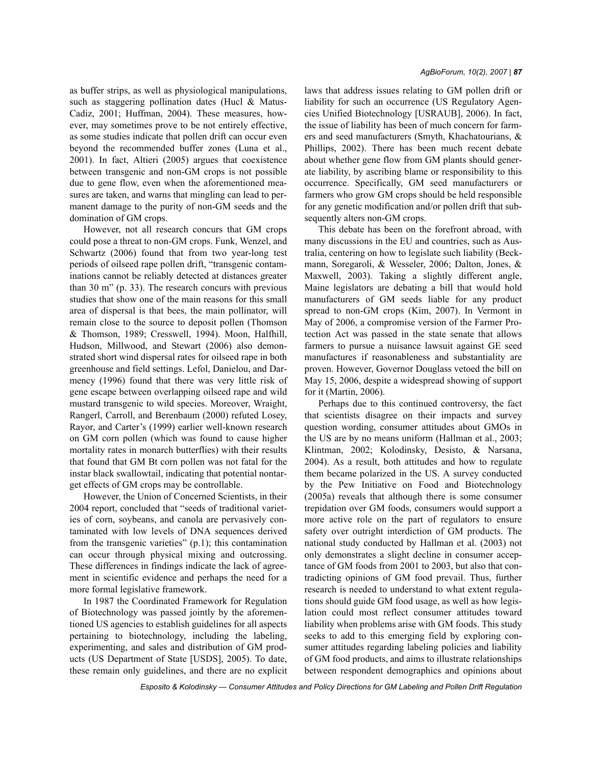as buffer strips, as well as physiological manipulations, such as staggering pollination dates (Hucl & Matus-Cadiz, 2001; Huffman, 2004). These measures, however, may sometimes prove to be not entirely effective, as some studies indicate that pollen drift can occur even beyond the recommended buffer zones (Luna et al., 2001). In fact, Altieri (2005) argues that coexistence between transgenic and non-GM crops is not possible due to gene flow, even when the aforementioned measures are taken, and warns that mingling can lead to permanent damage to the purity of non-GM seeds and the domination of GM crops.

However, not all research concurs that GM crops could pose a threat to non-GM crops. Funk, Wenzel, and Schwartz (2006) found that from two year-long test periods of oilseed rape pollen drift, "transgenic contaminations cannot be reliably detected at distances greater than 30 m" (p. 33). The research concurs with previous studies that show one of the main reasons for this small area of dispersal is that bees, the main pollinator, will remain close to the source to deposit pollen (Thomson & Thomson, 1989; Cresswell, 1994). Moon, Halfhill, Hudson, Millwood, and Stewart (2006) also demonstrated short wind dispersal rates for oilseed rape in both greenhouse and field settings. Lefol, Danielou, and Darmency (1996) found that there was very little risk of gene escape between overlapping oilseed rape and wild mustard transgenic to wild species. Moreover, Wraight, Rangerl, Carroll, and Berenbaum (2000) refuted Losey, Rayor, and Carter's (1999) earlier well-known research on GM corn pollen (which was found to cause higher mortality rates in monarch butterflies) with their results that found that GM Bt corn pollen was not fatal for the instar black swallowtail, indicating that potential nontarget effects of GM crops may be controllable.

However, the Union of Concerned Scientists, in their 2004 report, concluded that "seeds of traditional varieties of corn, soybeans, and canola are pervasively contaminated with low levels of DNA sequences derived from the transgenic varieties" (p.1); this contamination can occur through physical mixing and outcrossing. These differences in findings indicate the lack of agreement in scientific evidence and perhaps the need for a more formal legislative framework.

In 1987 the Coordinated Framework for Regulation of Biotechnology was passed jointly by the aforementioned US agencies to establish guidelines for all aspects pertaining to biotechnology, including the labeling, experimenting, and sales and distribution of GM products (US Department of State [USDS], 2005). To date, these remain only guidelines, and there are no explicit laws that address issues relating to GM pollen drift or liability for such an occurrence (US Regulatory Agencies Unified Biotechnology [USRAUB], 2006). In fact, the issue of liability has been of much concern for farmers and seed manufacturers (Smyth, Khachatourians, & Phillips, 2002). There has been much recent debate about whether gene flow from GM plants should generate liability, by ascribing blame or responsibility to this occurrence. Specifically, GM seed manufacturers or farmers who grow GM crops should be held responsible for any genetic modification and/or pollen drift that subsequently alters non-GM crops.

This debate has been on the forefront abroad, with many discussions in the EU and countries, such as Australia, centering on how to legislate such liability (Beckmann, Soregaroli, & Wesseler, 2006; Dalton, Jones, & Maxwell, 2003). Taking a slightly different angle, Maine legislators are debating a bill that would hold manufacturers of GM seeds liable for any product spread to non-GM crops (Kim, 2007). In Vermont in May of 2006, a compromise version of the Farmer Protection Act was passed in the state senate that allows farmers to pursue a nuisance lawsuit against GE seed manufactures if reasonableness and substantiality are proven. However, Governor Douglass vetoed the bill on May 15, 2006, despite a widespread showing of support for it (Martin, 2006).

Perhaps due to this continued controversy, the fact that scientists disagree on their impacts and survey question wording, consumer attitudes about GMOs in the US are by no means uniform (Hallman et al., 2003; Klintman, 2002; Kolodinsky, Desisto, & Narsana, 2004). As a result, both attitudes and how to regulate them became polarized in the US. A survey conducted by the Pew Initiative on Food and Biotechnology (2005a) reveals that although there is some consumer trepidation over GM foods, consumers would support a more active role on the part of regulators to ensure safety over outright interdiction of GM products. The national study conducted by Hallman et al. (2003) not only demonstrates a slight decline in consumer acceptance of GM foods from 2001 to 2003, but also that contradicting opinions of GM food prevail. Thus, further research is needed to understand to what extent regulations should guide GM food usage, as well as how legislation could most reflect consumer attitudes toward liability when problems arise with GM foods. This study seeks to add to this emerging field by exploring consumer attitudes regarding labeling policies and liability of GM food products, and aims to illustrate relationships between respondent demographics and opinions about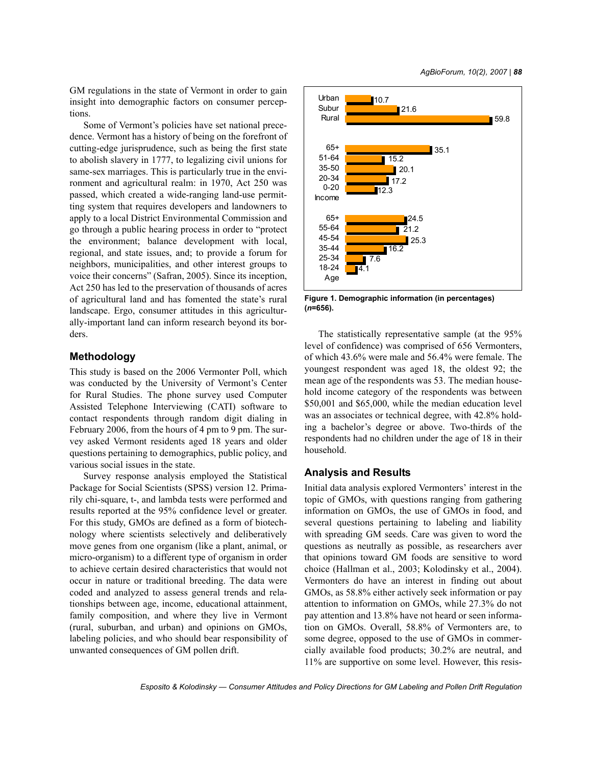GM regulations in the state of Vermont in order to gain insight into demographic factors on consumer perceptions.

Some of Vermont's policies have set national precedence. Vermont has a history of being on the forefront of cutting-edge jurisprudence, such as being the first state to abolish slavery in 1777, to legalizing civil unions for same-sex marriages. This is particularly true in the environment and agricultural realm: in 1970, Act 250 was passed, which created a wide-ranging land-use permitting system that requires developers and landowners to apply to a local District Environmental Commission and go through a public hearing process in order to "protect the environment; balance development with local, regional, and state issues, and; to provide a forum for neighbors, municipalities, and other interest groups to voice their concerns" (Safran, 2005). Since its inception, Act 250 has led to the preservation of thousands of acres of agricultural land and has fomented the state's rural landscape. Ergo, consumer attitudes in this agriculturally-important land can inform research beyond its borders.

## **Methodology**

This study is based on the 2006 Vermonter Poll, which was conducted by the University of Vermont's Center for Rural Studies. The phone survey used Computer Assisted Telephone Interviewing (CATI) software to contact respondents through random digit dialing in February 2006, from the hours of 4 pm to 9 pm. The survey asked Vermont residents aged 18 years and older questions pertaining to demographics, public policy, and various social issues in the state.

Survey response analysis employed the Statistical Package for Social Scientists (SPSS) version 12. Primarily chi-square, t-, and lambda tests were performed and results reported at the 95% confidence level or greater. For this study, GMOs are defined as a form of biotechnology where scientists selectively and deliberatively move genes from one organism (like a plant, animal, or micro-organism) to a different type of organism in order to achieve certain desired characteristics that would not occur in nature or traditional breeding. The data were coded and analyzed to assess general trends and relationships between age, income, educational attainment, family composition, and where they live in Vermont (rural, suburban, and urban) and opinions on GMOs, labeling policies, and who should bear responsibility of unwanted consequences of GM pollen drift.



**Figure 1. Demographic information (in percentages) (***n***=656).**

The statistically representative sample (at the 95% level of confidence) was comprised of 656 Vermonters, of which 43.6% were male and 56.4% were female. The youngest respondent was aged 18, the oldest 92; the mean age of the respondents was 53. The median household income category of the respondents was between \$50,001 and \$65,000, while the median education level was an associates or technical degree, with 42.8% holding a bachelor's degree or above. Two-thirds of the respondents had no children under the age of 18 in their household.

#### **Analysis and Results**

Initial data analysis explored Vermonters' interest in the topic of GMOs, with questions ranging from gathering information on GMOs, the use of GMOs in food, and several questions pertaining to labeling and liability with spreading GM seeds. Care was given to word the questions as neutrally as possible, as researchers aver that opinions toward GM foods are sensitive to word choice (Hallman et al., 2003; Kolodinsky et al., 2004). Vermonters do have an interest in finding out about GMOs, as 58.8% either actively seek information or pay attention to information on GMOs, while 27.3% do not pay attention and 13.8% have not heard or seen information on GMOs. Overall, 58.8% of Vermonters are, to some degree, opposed to the use of GMOs in commercially available food products; 30.2% are neutral, and 11% are supportive on some level. However, this resis-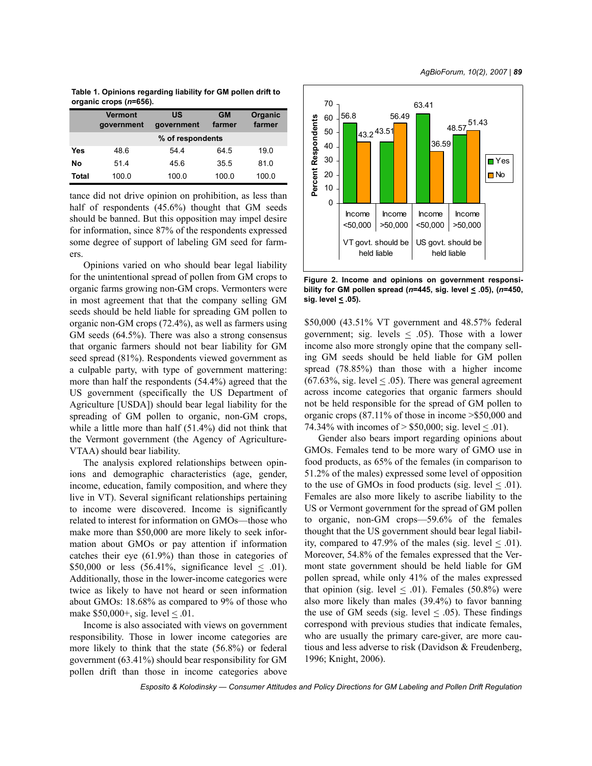| Table 1. Opinions regarding liability for GM pollen drift to |  |
|--------------------------------------------------------------|--|
| organic crops (n=656).                                       |  |

|       | <b>Vermont</b><br>government | <b>US</b><br>government | <b>GM</b><br>farmer | Organic<br>farmer |  |
|-------|------------------------------|-------------------------|---------------------|-------------------|--|
|       | % of respondents             |                         |                     |                   |  |
| Yes   | 48.6                         | 54.4                    | 64.5                | 19.0              |  |
| No    | 51.4                         | 45.6                    | 35.5                | 81.0              |  |
| Total | 100.0                        | 100.0                   | 100.0               | 100.0             |  |

tance did not drive opinion on prohibition, as less than half of respondents (45.6%) thought that GM seeds should be banned. But this opposition may impel desire for information, since 87% of the respondents expressed some degree of support of labeling GM seed for farmers.

Opinions varied on who should bear legal liability for the unintentional spread of pollen from GM crops to organic farms growing non-GM crops. Vermonters were in most agreement that that the company selling GM seeds should be held liable for spreading GM pollen to organic non-GM crops (72.4%), as well as farmers using GM seeds (64.5%). There was also a strong consensus that organic farmers should not bear liability for GM seed spread (81%). Respondents viewed government as a culpable party, with type of government mattering: more than half the respondents (54.4%) agreed that the US government (specifically the US Department of Agriculture [USDA]) should bear legal liability for the spreading of GM pollen to organic, non-GM crops, while a little more than half (51.4%) did not think that the Vermont government (the Agency of Agriculture-VTAA) should bear liability.

The analysis explored relationships between opinions and demographic characteristics (age, gender, income, education, family composition, and where they live in VT). Several significant relationships pertaining to income were discovered. Income is significantly related to interest for information on GMOs—those who make more than \$50,000 are more likely to seek information about GMOs or pay attention if information catches their eye (61.9%) than those in categories of \$50,000 or less  $(56.41\%$ , significance level  $\leq$  .01). Additionally, those in the lower-income categories were twice as likely to have not heard or seen information about GMOs: 18.68% as compared to 9% of those who make \$50,000+, sig. level  $\leq$  0.01.

Income is also associated with views on government responsibility. Those in lower income categories are more likely to think that the state (56.8%) or federal government (63.41%) should bear responsibility for GM pollen drift than those in income categories above



**Figure 2. Income and opinions on government responsibility for GM pollen spread (***n***=445, sig. level < .05), (***n***=450, sig. level < .05).** 

\$50,000 (43.51% VT government and 48.57% federal government; sig. levels  $\leq$  0.05). Those with a lower income also more strongly opine that the company selling GM seeds should be held liable for GM pollen spread (78.85%) than those with a higher income (67.63%, sig. level  $\leq$  .05). There was general agreement across income categories that organic farmers should not be held responsible for the spread of GM pollen to organic crops (87.11% of those in income >\$50,000 and 74.34% with incomes of  $> $50,000$ ; sig. level  $< .01$ ).

Gender also bears import regarding opinions about GMOs. Females tend to be more wary of GMO use in food products, as 65% of the females (in comparison to 51.2% of the males) expressed some level of opposition to the use of GMOs in food products (sig. level  $\leq$  .01). Females are also more likely to ascribe liability to the US or Vermont government for the spread of GM pollen to organic, non-GM crops—59.6% of the females thought that the US government should bear legal liability, compared to 47.9% of the males (sig. level  $\leq$  .01). Moreover, 54.8% of the females expressed that the Vermont state government should be held liable for GM pollen spread, while only 41% of the males expressed that opinion (sig. level  $\leq$  0.01). Females (50.8%) were also more likely than males (39.4%) to favor banning the use of GM seeds (sig. level  $\leq$  .05). These findings correspond with previous studies that indicate females, who are usually the primary care-giver, are more cautious and less adverse to risk (Davidson & Freudenberg, 1996; Knight, 2006).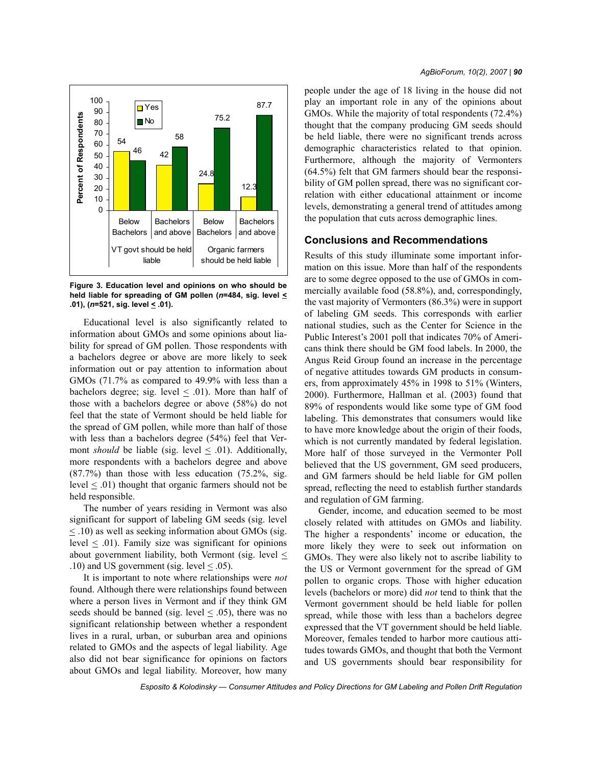

**Figure 3. Education level and opinions on who should be held liable for spreading of GM pollen (***n***=484, sig. level < .01), (***n***=521, sig. level < .01).**

Educational level is also significantly related to information about GMOs and some opinions about liability for spread of GM pollen. Those respondents with a bachelors degree or above are more likely to seek information out or pay attention to information about GMOs (71.7% as compared to 49.9% with less than a bachelors degree; sig. level  $\leq$  .01). More than half of those with a bachelors degree or above (58%) do not feel that the state of Vermont should be held liable for the spread of GM pollen, while more than half of those with less than a bachelors degree (54%) feel that Vermont *should* be liable (sig. level  $\leq$  .01). Additionally, more respondents with a bachelors degree and above (87.7%) than those with less education (75.2%, sig. level < .01) thought that organic farmers should not be held responsible.

The number of years residing in Vermont was also significant for support of labeling GM seeds (sig. level  $\leq$  .10) as well as seeking information about GMOs (sig. level  $\leq$  .01). Family size was significant for opinions about government liability, both Vermont (sig. level  $\leq$ .10) and US government (sig. level  $\leq$  .05).

It is important to note where relationships were *not* found. Although there were relationships found between where a person lives in Vermont and if they think GM seeds should be banned (sig. level  $\leq$  0.05), there was no significant relationship between whether a respondent lives in a rural, urban, or suburban area and opinions related to GMOs and the aspects of legal liability. Age also did not bear significance for opinions on factors about GMOs and legal liability. Moreover, how many people under the age of 18 living in the house did not play an important role in any of the opinions about GMOs. While the majority of total respondents (72.4%) thought that the company producing GM seeds should be held liable, there were no significant trends across demographic characteristics related to that opinion. Furthermore, although the majority of Vermonters (64.5%) felt that GM farmers should bear the responsibility of GM pollen spread, there was no significant correlation with either educational attainment or income levels, demonstrating a general trend of attitudes among the population that cuts across demographic lines.

### **Conclusions and Recommendations**

Results of this study illuminate some important information on this issue. More than half of the respondents are to some degree opposed to the use of GMOs in commercially available food (58.8%), and, correspondingly, the vast majority of Vermonters (86.3%) were in support of labeling GM seeds. This corresponds with earlier national studies, such as the Center for Science in the Public Interest's 2001 poll that indicates 70% of Americans think there should be GM food labels. In 2000, the Angus Reid Group found an increase in the percentage of negative attitudes towards GM products in consumers, from approximately 45% in 1998 to 51% (Winters, 2000). Furthermore, Hallman et al. (2003) found that 89% of respondents would like some type of GM food labeling. This demonstrates that consumers would like to have more knowledge about the origin of their foods, which is not currently mandated by federal legislation. More half of those surveyed in the Vermonter Poll believed that the US government, GM seed producers, and GM farmers should be held liable for GM pollen spread, reflecting the need to establish further standards and regulation of GM farming.

Gender, income, and education seemed to be most closely related with attitudes on GMOs and liability. The higher a respondents' income or education, the more likely they were to seek out information on GMOs. They were also likely not to ascribe liability to the US or Vermont government for the spread of GM pollen to organic crops. Those with higher education levels (bachelors or more) did *not* tend to think that the Vermont government should be held liable for pollen spread, while those with less than a bachelors degree expressed that the VT government should be held liable. Moreover, females tended to harbor more cautious attitudes towards GMOs, and thought that both the Vermont and US governments should bear responsibility for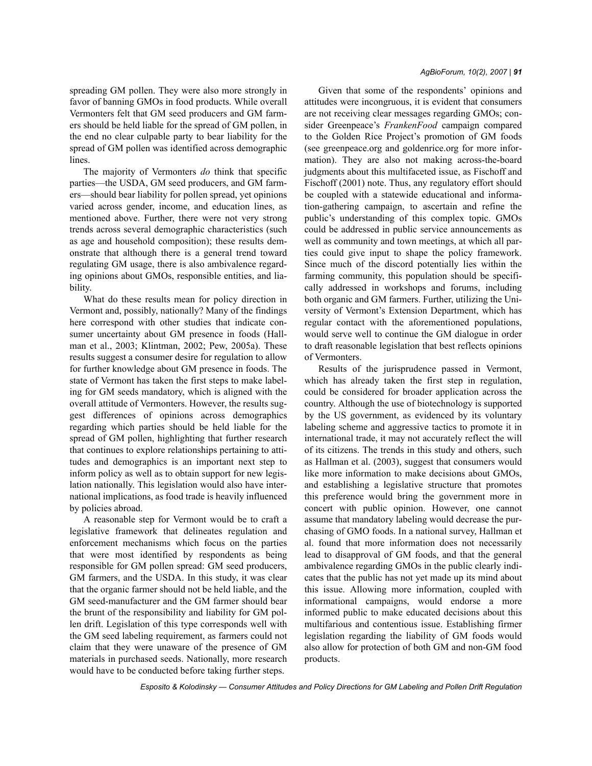spreading GM pollen. They were also more strongly in favor of banning GMOs in food products. While overall Vermonters felt that GM seed producers and GM farmers should be held liable for the spread of GM pollen, in the end no clear culpable party to bear liability for the spread of GM pollen was identified across demographic lines.

The majority of Vermonters *do* think that specific parties—the USDA, GM seed producers, and GM farmers—should bear liability for pollen spread, yet opinions varied across gender, income, and education lines, as mentioned above. Further, there were not very strong trends across several demographic characteristics (such as age and household composition); these results demonstrate that although there is a general trend toward regulating GM usage, there is also ambivalence regarding opinions about GMOs, responsible entities, and liability.

What do these results mean for policy direction in Vermont and, possibly, nationally? Many of the findings here correspond with other studies that indicate consumer uncertainty about GM presence in foods (Hallman et al., 2003; Klintman, 2002; Pew, 2005a). These results suggest a consumer desire for regulation to allow for further knowledge about GM presence in foods. The state of Vermont has taken the first steps to make labeling for GM seeds mandatory, which is aligned with the overall attitude of Vermonters. However, the results suggest differences of opinions across demographics regarding which parties should be held liable for the spread of GM pollen, highlighting that further research that continues to explore relationships pertaining to attitudes and demographics is an important next step to inform policy as well as to obtain support for new legislation nationally. This legislation would also have international implications, as food trade is heavily influenced by policies abroad.

A reasonable step for Vermont would be to craft a legislative framework that delineates regulation and enforcement mechanisms which focus on the parties that were most identified by respondents as being responsible for GM pollen spread: GM seed producers, GM farmers, and the USDA. In this study, it was clear that the organic farmer should not be held liable, and the GM seed-manufacturer and the GM farmer should bear the brunt of the responsibility and liability for GM pollen drift. Legislation of this type corresponds well with the GM seed labeling requirement, as farmers could not claim that they were unaware of the presence of GM materials in purchased seeds. Nationally, more research would have to be conducted before taking further steps.

#### *AgBioForum, 10(2), 2007 | 91*

Given that some of the respondents' opinions and attitudes were incongruous, it is evident that consumers are not receiving clear messages regarding GMOs; consider Greenpeace's *FrankenFood* campaign compared to the Golden Rice Project's promotion of GM foods (see greenpeace.org and goldenrice.org for more information). They are also not making across-the-board judgments about this multifaceted issue, as Fischoff and Fischoff (2001) note. Thus, any regulatory effort should be coupled with a statewide educational and information-gathering campaign, to ascertain and refine the public's understanding of this complex topic. GMOs could be addressed in public service announcements as well as community and town meetings, at which all parties could give input to shape the policy framework. Since much of the discord potentially lies within the farming community, this population should be specifically addressed in workshops and forums, including both organic and GM farmers. Further, utilizing the University of Vermont's Extension Department, which has regular contact with the aforementioned populations, would serve well to continue the GM dialogue in order to draft reasonable legislation that best reflects opinions of Vermonters.

Results of the jurisprudence passed in Vermont, which has already taken the first step in regulation, could be considered for broader application across the country. Although the use of biotechnology is supported by the US government, as evidenced by its voluntary labeling scheme and aggressive tactics to promote it in international trade, it may not accurately reflect the will of its citizens. The trends in this study and others, such as Hallman et al. (2003), suggest that consumers would like more information to make decisions about GMOs, and establishing a legislative structure that promotes this preference would bring the government more in concert with public opinion. However, one cannot assume that mandatory labeling would decrease the purchasing of GMO foods. In a national survey, Hallman et al. found that more information does not necessarily lead to disapproval of GM foods, and that the general ambivalence regarding GMOs in the public clearly indicates that the public has not yet made up its mind about this issue. Allowing more information, coupled with informational campaigns, would endorse a more informed public to make educated decisions about this multifarious and contentious issue. Establishing firmer legislation regarding the liability of GM foods would also allow for protection of both GM and non-GM food products.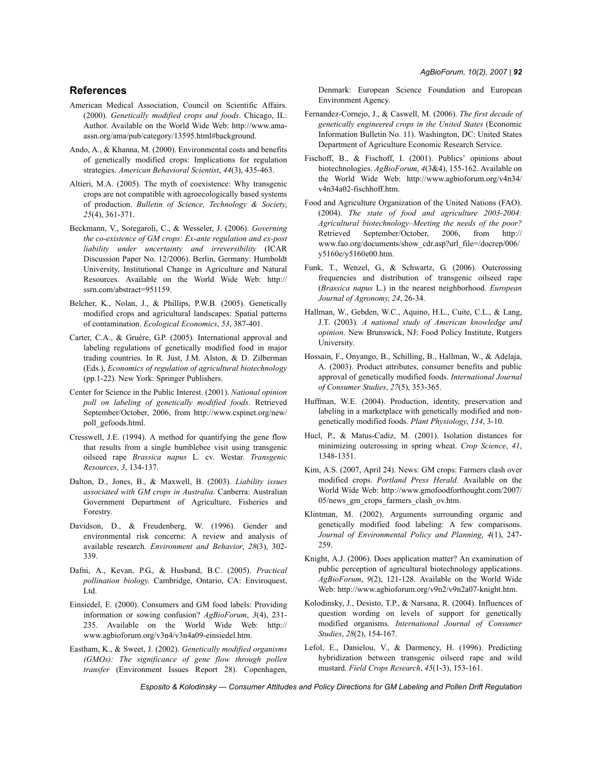### **References**

- American Medical Association, Council on Scientific Affairs. (2000). *Genetically modified crops and foods*. Chicago, IL: Author. Available on the World Wide Web: http://www.amaassn.org/ama/pub/category/13595.html#background.
- Ando, A., & Khanna, M. (2000). Environmental costs and benefits of genetically modified crops: Implications for regulation strategies. *American Behavioral Scientist*, *44*(3), 435-463.
- Altieri, M.A. (2005). The myth of coexistence: Why transgenic crops are not compatible with agroecologically based systems of production. *Bulletin of Science, Technology & Society*, *25*(4), 361-371.
- Beckmann, V., Soregaroli, C., & Wesseler, J. (2006). *Governing the co-existence of GM crops: Ex-ante regulation and ex-post liability under uncertainty and irreversibility* (ICAR Discussion Paper No. 12/2006). Berlin, Germany: Humboldt University, Institutional Change in Agriculture and Natural Resources. Available on the World Wide Web: http:// ssrn.com/abstract=951159.
- Belcher, K., Nolan, J., & Phillips, P.W.B. (2005). Genetically modified crops and agricultural landscapes: Spatial patterns of contamination. *Ecological Economics*, *53*, 387-401.
- Carter, C.A., & Gruère, G.P. (2005). International approval and labeling regulations of genetically modified food in major trading countries. In R. Just, J.M. Alston, & D. Zilberman (Eds.), *Economics of regulation of agricultural biotechnology* (pp.1-22). New York: Springer Publishers.
- Center for Science in the Public Interest. (2001). *National opinion poll on labeling of genetically modified foods*. Retrieved September/October, 2006, from http://www.cspinet.org/new/ poll\_gefoods.html.
- Cresswell, J.E. (1994). A method for quantifying the gene flow that results from a single bumblebee visit using transgenic oilseed rape *Brassica napus* L. cv. Westar. *Transgenic Resources*, *3*, 134-137.
- Dalton, D., Jones, B., & Maxwell, B. (2003). *Liability issues associated with GM crops in Australia*. Canberra: Australian Government Department of Agriculture, Fisheries and Forestry.
- Davidson, D., & Freudenberg, W. (1996). Gender and environmental risk concerns: A review and analysis of available research. *Environment and Behavior*, *28*(3), 302- 339.
- Dafni, A., Kevan, P.G., & Husband, B.C. (2005). *Practical pollination biology*. Cambridge, Ontario, CA: Enviroquest, Ltd.
- Einsiedel, E. (2000). Consumers and GM food labels: Providing information or sowing confusion? *AgBioForum*, *3*(4), 231- 235. Available on the World Wide Web: http:// www.agbioforum.org/v3n4/v3n4a09-einsiedel.htm.
- Eastham, K., & Sweet, J. (2002). *Genetically modified organisms (GMOs): The significance of gene flow through pollen transfer* (Environment Issues Report 28). Copenhagen,

Denmark: European Science Foundation and European Environment Agency.

- Fernandez-Cornejo, J., & Caswell, M. (2006). *The first decade of genetically engineered crops in the United States* (Economic Information Bulletin No. 11). Washington, DC: United States Department of Agriculture Economic Research Service.
- Fischoff, B., & Fischoff, I. (2001). Publics' opinions about biotechnologies. *AgBioForum*, *4*(3&4), 155-162. Available on the World Wide Web: http://www.agbioforum.org/v4n34/ v4n34a02-fischhoff.htm.
- Food and Agriculture Organization of the United Nations (FAO). (2004). *The state of food and agriculture 2003-2004: Agricultural biotechnology–Meeting the needs of the poor?* Retrieved September/October, 2006, from http:// www.fao.org/documents/show\_cdr.asp?url\_file=/docrep/006/ y5160e/y5160e00.htm.
- Funk, T., Wenzel, G., & Schwartz, G. (2006). Outcrossing frequencies and distribution of transgenic oilseed rape (*Brassica napus* L.) in the nearest neighborhood. *European Journal of Agronomy*, *24*, 26-34.
- Hallman, W., Gebden, W.C., Aquino, H.L., Cuite, C.L., & Lang, J.T. (2003). *A national study of American knowledge and opinion*. New Brunswick, NJ: Food Policy Institute, Rutgers University.
- Hossain, F., Onyango, B., Schilling, B., Hallman, W., & Adelaja, A. (2003). Product attributes, consumer benefits and public approval of genetically modified foods. *International Journal of Consumer Studies*, *27*(5), 353-365.
- Huffman, W.E. (2004). Production, identity, preservation and labeling in a marketplace with genetically modified and nongenetically modified foods. *Plant Physiology*, *134*, 3-10.
- Hucl, P., & Matus-Cadiz, M. (2001). Isolation distances for minimizing outcrossing in spring wheat. *Crop Science*, *41*, 1348-1351.
- Kim, A.S. (2007, April 24). News: GM crops: Farmers clash over modified crops. *Portland Press Herald*. Available on the World Wide Web: http://www.gmofoodforthought.com/2007/ 05/news\_gm\_crops\_farmers\_clash\_ov.htm.
- Klintman, M. (2002). Arguments surrounding organic and genetically modified food labeling: A few comparisons. *Journal of Environmental Policy and Planning*, *4*(1), 247- 259.
- Knight, A.J. (2006). Does application matter? An examination of public perception of agricultural biotechnology applications. *AgBioForum*, *9*(2), 121-128. Available on the World Wide Web: http://www.agbioforum.org/v9n2/v9n2a07-knight.htm.
- Kolodinsky, J., Desisto, T.P., & Narsana, R. (2004). Influences of question wording on levels of support for genetically modified organisms. *International Journal of Consumer Studies*, *28*(2), 154-167.
- Lefol, E., Danielou, V., & Darmency, H. (1996). Predicting hybridization between transgenic oilseed rape and wild mustard. *Field Crops Research*, *45*(1-3), 153-161.